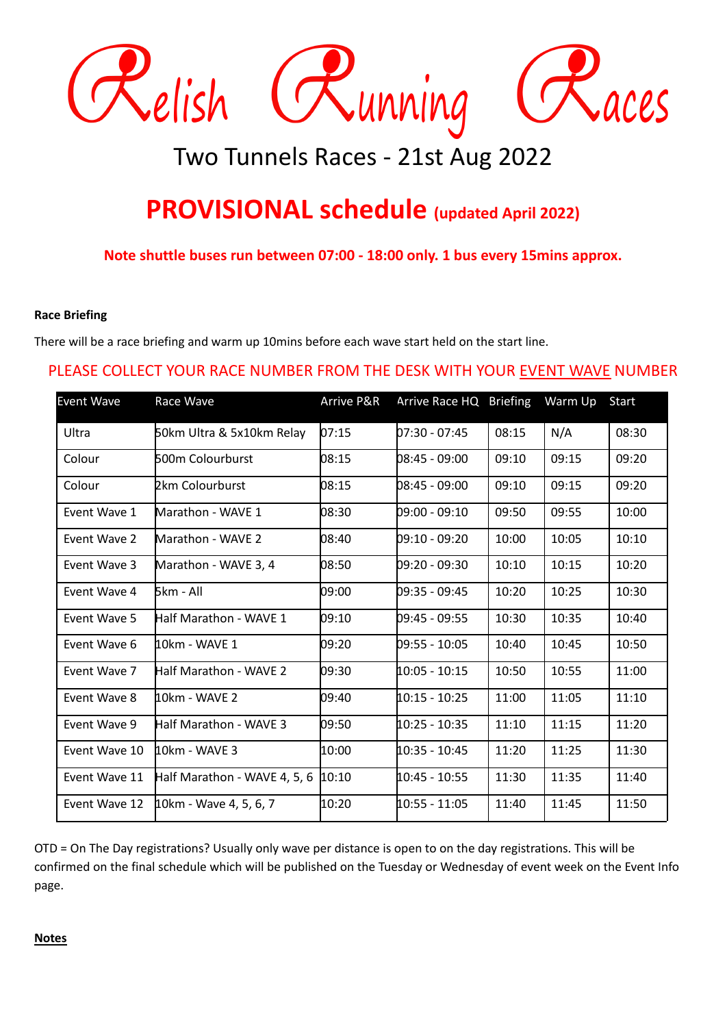

# Two Tunnels Races - 21st Aug 2022

## **PROVISIONAL schedule (updated April 2022)**

**Note shuttle buses run between 07:00 - 18:00 only. 1 bus every 15mins approx.**

#### **Race Briefing**

There will be a race briefing and warm up 10mins before each wave start held on the start line.

### PLEASE COLLECT YOUR RACE NUMBER FROM THE DESK WITH YOUR EVENT WAVE NUMBER

| Event Wave    | Race Wave                    | Arrive P&R | Arrive Race HQ Briefing |       | Warm Up | Start |
|---------------|------------------------------|------------|-------------------------|-------|---------|-------|
| Ultra         | 50km Ultra & 5x10km Relay    | 07:15      | 07:30 - 07:45           | 08:15 | N/A     | 08:30 |
| Colour        | <b>500m Colourburst</b>      | 08:15      | 08:45 - 09:00           | 09:10 | 09:15   | 09:20 |
| Colour        | <b>2km Colourburst</b>       | 08:15      | 08:45 - 09:00           | 09:10 | 09:15   | 09:20 |
| Event Wave 1  | Marathon - WAVE 1            | 08:30      | 09:00 - 09:10           | 09:50 | 09:55   | 10:00 |
| Event Wave 2  | Marathon - WAVE 2            | 08:40      | 09:10 - 09:20           | 10:00 | 10:05   | 10:10 |
| Event Wave 3  | Marathon - WAVE 3, 4         | 08:50      | 09:20 - 09:30           | 10:10 | 10:15   | 10:20 |
| Event Wave 4  | ნkm - All                    | 09:00      | 09:35 - 09:45           | 10:20 | 10:25   | 10:30 |
| Event Wave 5  | Half Marathon - WAVE 1       | 09:10      | 09:45 - 09:55           | 10:30 | 10:35   | 10:40 |
| Event Wave 6  | 110km - WAVF 1               | 09:20      | 09:55 - 10:05           | 10:40 | 10:45   | 10:50 |
| Event Wave 7  | Half Marathon - WAVE 2       | 09:30      | 10:05 - 10:15           | 10:50 | 10:55   | 11:00 |
| Event Wave 8  | <code>10km</code> - WAVE 2   | 09:40      | 10:15 - 10:25           | 11:00 | 11:05   | 11:10 |
| Event Wave 9  | Half Marathon - WAVE 3       | 09:50      | 10:25 - 10:35           | 11:10 | 11:15   | 11:20 |
| Event Wave 10 | 40km - WAVE 3                | 10:00      | 10:35 - 10:45           | 11:20 | 11:25   | 11:30 |
| Event Wave 11 | Half Marathon - WAVE 4, 5, 6 | 10:10      | 10:45 - 10:55           | 11:30 | 11:35   | 11:40 |
| Event Wave 12 | 10km - Wave 4, 5, 6, 7       | 10:20      | 10:55 - 11:05           | 11:40 | 11:45   | 11:50 |

OTD = On The Day registrations? Usually only wave per distance is open to on the day registrations. This will be confirmed on the final schedule which will be published on the Tuesday or Wednesday of event week on the Event Info page.

#### **Notes**